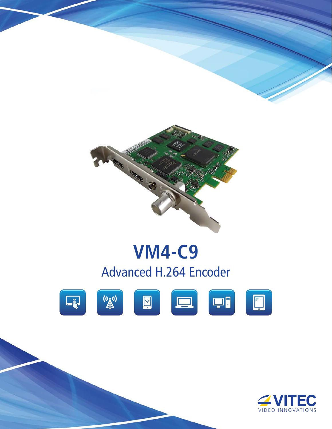

# **VM4-C9** Advanced H.264 Encoder



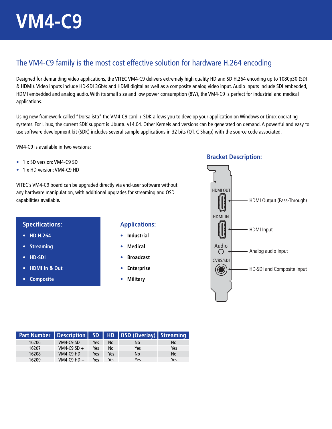## The VM4-C9 family is the most cost effective solution for hardware H.264 encoding

Designed for demanding video applications, the VITEC VM4-C9 delivers extremely high quality HD and SD H.264 encoding up to 1080p30 (SDI & HDMI). Video inputs include HD-SDI 3Gb/s and HDMI digital as well as a composite analog video input. Audio inputs include SDI embedded, HDMI embedded and analog audio. With its small size and low power consumption (8W), the VM4-C9 is perfect for industrial and medical applications.

Using new framework called "Dorsalista" the VM4-C9 card + SDK allows you to develop your application on Windows or Linux operating systems. For Linux, the current SDK support is Ubuntu v14.04. Other Kernels and versions can be generated on demand. A powerful and easy to use software development kit (SDK) includes several sample applications in 32 bits (QT, C Sharp) with the source code associated.

VM4-C9 is available in two versions:

- 1 x SD version: VM4-C9 SD
- 1 x HD version: VM4-C9 HD

VITEC's VM4-C9 board can be upgraded directly via end-user software without any hardware manipulation, with additional upgrades for streaming and OSD capabilities available.

### **Specifications:**

- **HD H.264**
- **Streaming**
- **HD-SDI**
- **HDMI In & Out**
- **Composite**

#### **Applications:**

- **Industrial**
- **Medical**
- **Broadcast**
- **Enterprise**
- **Military**

#### **Bracket Description:**



|       |               |     |     | Part Number   Description   SD   HD   OSD (Overlay)   Streaming |           |
|-------|---------------|-----|-----|-----------------------------------------------------------------|-----------|
| 16206 | VM4-C9 SD     | Yes | No. | No                                                              | No        |
| 16207 | VM4-C9 SD $+$ | Yes | No  | Yes                                                             | Yes       |
| 16208 | VM4-C9 HD     | Yes | Yes | <b>No</b>                                                       | <b>No</b> |
| 16209 | VM4-C9 HD $+$ | Yes | Yes | Yes                                                             | Yes       |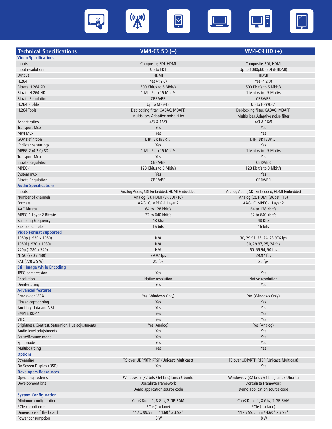

| <b>Technical Specifications</b>                   | <b>VM4-C9 SD <math>(+)</math></b>                    | VM4-C9 HD $(+)$                                      |
|---------------------------------------------------|------------------------------------------------------|------------------------------------------------------|
| <b>Video Specifications</b>                       |                                                      |                                                      |
| Inputs                                            | Composite, SDI, HDMI                                 | Composite, SDI, HDMI                                 |
| Input resolution                                  |                                                      | Up to 1080p60 (SDI & HDMI)                           |
|                                                   | Up to FD1<br><b>HDMI</b>                             | <b>HDMI</b>                                          |
| Output<br>H.264                                   |                                                      |                                                      |
|                                                   | Yes (4:2:0)                                          | Yes (4:2:0)                                          |
| Bitrate H.264 SD                                  | 500 Kbit/s to 6 Mbit/s                               | 500 Kbit/s to 6 Mbit/s                               |
| Bitrate H.264 HD                                  | 1 Mbit/s to 15 Mbit/s                                | 1 Mbit/s to 15 Mbit/s                                |
| <b>Bitrate Regulation</b>                         | <b>CBR/VBR</b>                                       | <b>CBR/VBR</b>                                       |
| H.264 Profile                                     | Up to MP@L3                                          | Up to HP@L4.1                                        |
| H.264 Tools                                       | Deblocking filter, CABAC, MBAFF,                     | Deblocking filter, CABAC, MBAFF,                     |
|                                                   | Multislices, Adaptive noise filter                   | Multislices, Adaptive noise filter                   |
| Aspect ratios                                     | 4/3 & 16/9                                           | 4/3 & 16/9                                           |
| <b>Transport Mux</b>                              | Yes                                                  | Yes                                                  |
| MP4 Mux                                           | Yes                                                  | Yes                                                  |
| <b>GOP Definition</b>                             | I, IP, IBP, IBBP,                                    | I, IP, IBP, IBBP,                                    |
| IP distance settings                              | Yes                                                  | Yes                                                  |
| MPEG-2 (4:2:0) SD                                 | 1 Mbit/s to 15 Mbit/s                                | 1 Mbit/s to 15 Mbit/s                                |
| <b>Transport Mux</b>                              | Yes                                                  | Yes                                                  |
| <b>Bitrate Regulation</b>                         | <b>CBR/VBR</b>                                       | <b>CBR/VBR</b>                                       |
| MPEG-1                                            | 128 Kbit/s to 3 Mbit/s                               | 128 Kbit/s to 3 Mbit/s                               |
| System mux                                        | Yes                                                  | Yes                                                  |
| <b>Bitrate Regulation</b>                         | <b>CBR/VBR</b>                                       | <b>CBR/VBR</b>                                       |
| <b>Audio Specifications</b>                       |                                                      |                                                      |
| Inputs                                            | Analog Audio, SDI Embedded, HDMI Embedded            | Analog Audio, SDI Embedded, HDMI Embedded            |
| Number of channels                                | Analog (2), HDMI (8), SDI (16)                       | Analog (2), HDMI (8), SDI (16)                       |
| <b>Formats</b>                                    | AAC-LC, MPEG-1 Layer 2                               | AAC-LC, MPEG-1 Layer 2                               |
| <b>AAC Bitrate</b>                                | 64 to 128 kbit/s                                     | 64 to 128 kbit/s                                     |
| MPEG-1 Layer 2 Bitrate                            | 32 to 640 kbit/s                                     | 32 to 640 kbit/s                                     |
| <b>Sampling Frequency</b>                         | 48 Khz                                               | 48 Khz                                               |
| Bits per sample                                   | 16 bits                                              | 16 bits                                              |
| <b>Video Format supported</b>                     |                                                      |                                                      |
| 1080p (1920 x 1080)                               | N/A                                                  | 30, 29.97, 25, 24, 23.976 fps                        |
| 1080i (1920 x 1080)                               | N/A                                                  | 30, 29.97, 25, 24 fps                                |
| 720p (1280 x 720)                                 | N/A                                                  | 60, 59.94, 50 fps                                    |
| NTSC (720 x 480)                                  | 29.97 fps                                            | 29.97 fps                                            |
| PAL (720 x 576)                                   | 25 fps                                               | 25 fps                                               |
| <b>Still Image while Encoding</b>                 |                                                      |                                                      |
| JPEG compression                                  | Yes                                                  | Yes                                                  |
| Resolution                                        | Native resolution                                    | Native resolution                                    |
| Deinterlacing                                     | Yes                                                  | Yes                                                  |
| <b>Advanced features</b>                          |                                                      |                                                      |
| Preview on VGA                                    | Yes (Windows Only)                                   | Yes (Windows Only)                                   |
| Closed captionning                                | Yes                                                  | Yes                                                  |
| Ancillary data and VBI                            | Yes                                                  | Yes                                                  |
| SMPTE RD-11                                       | Yes                                                  | Yes                                                  |
| <b>VITC</b>                                       | Yes                                                  | Yes                                                  |
| Brightness, Contrast, Saturation, Hue adjustments |                                                      |                                                      |
|                                                   | Yes (Analog)                                         | Yes (Analog)                                         |
| Audio level adujstments                           | Yes                                                  | Yes                                                  |
| Pause/Resume mode                                 | Yes                                                  | Yes                                                  |
| Split mode                                        | Yes                                                  | Yes                                                  |
| Multiboarding                                     | Yes                                                  | Yes                                                  |
| <b>Options</b>                                    |                                                      |                                                      |
| Streaming                                         | TS over UDP/RTP, RTSP (Unicast, Multicast)           | TS over UDP/RTP, RTSP (Unicast, Multicast)           |
| On Screen Display (OSD)                           | Yes                                                  | Yes                                                  |
| <b>Developers Ressources</b>                      |                                                      |                                                      |
| Operating systems                                 | Windows 7 (32 bits / 64 bits) Linux Ubuntu           | Windows 7 (32 bits / 64 bits) Linux Ubuntu           |
| Development kits                                  | Dorsalista Framework<br>Demo application source code | Dorsalista Framework<br>Demo application source code |
| <b>System Configuration</b>                       |                                                      |                                                      |
| Minimum configuration                             | Core2Duo - 1, 8 Ghz, 2 GB RAM                        | Core2Duo - 1, 8 Ghz, 2 GB RAM                        |
| PCIe compliance                                   | PCIe (1 x lane)                                      | PCIe (1 x lane)                                      |
| Dimensions of the board                           | 117 x 99,5 mm / 4.60" x 3.92"                        | 117 x 99,5 mm / 4.60" x 3.92"                        |
| Power consumption                                 | 8 W                                                  | 8 W                                                  |